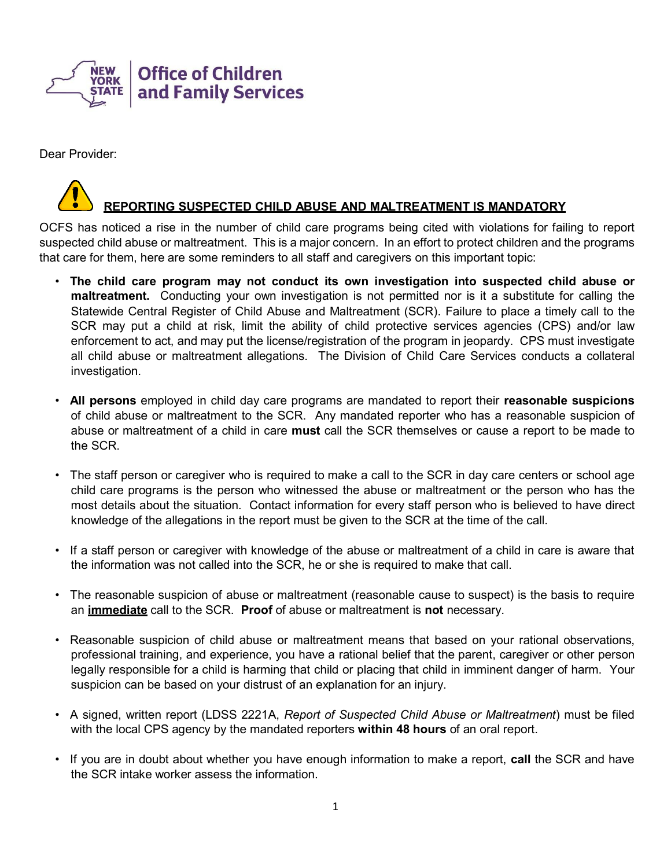

Dear Provider:

# **REPORTING SUSPECTED CHILD ABUSE AND MALTREATMENT IS MANDATORY**

OCFS has noticed a rise in the number of child care programs being cited with violations for failing to report suspected child abuse or maltreatment. This is a major concern. In an effort to protect children and the programs that care for them, here are some reminders to all staff and caregivers on this important topic:

- **The child care program may not conduct its own investigation into suspected child abuse or maltreatment.** Conducting your own investigation is not permitted nor is it a substitute for calling the Statewide Central Register of Child Abuse and Maltreatment (SCR). Failure to place a timely call to the SCR may put a child at risk, limit the ability of child protective services agencies (CPS) and/or law enforcement to act, and may put the license/registration of the program in jeopardy. CPS must investigate all child abuse or maltreatment allegations. The Division of Child Care Services conducts a collateral investigation.
- **All persons** employed in child day care programs are mandated to report their **reasonable suspicions**  of child abuse or maltreatment to the SCR. Any mandated reporter who has a reasonable suspicion of abuse or maltreatment of a child in care **must** call the SCR themselves or cause a report to be made to the SCR.
- The staff person or caregiver who is required to make a call to the SCR in day care centers or school age child care programs is the person who witnessed the abuse or maltreatment or the person who has the most details about the situation. Contact information for every staff person who is believed to have direct knowledge of the allegations in the report must be given to the SCR at the time of the call.
- If a staff person or caregiver with knowledge of the abuse or maltreatment of a child in care is aware that the information was not called into the SCR, he or she is required to make that call.
- The reasonable suspicion of abuse or maltreatment (reasonable cause to suspect) is the basis to require an **immediate** call to the SCR. **Proof** of abuse or maltreatment is **not** necessary.
- Reasonable suspicion of child abuse or maltreatment means that based on your rational observations, professional training, and experience, you have a rational belief that the parent, caregiver or other person legally responsible for a child is harming that child or placing that child in imminent danger of harm. Your suspicion can be based on your distrust of an explanation for an injury.
- A signed, written report (LDSS 2221A, *Report of Suspected Child Abuse or Maltreatment*) must be filed with the local CPS agency by the mandated reporters **within 48 hours** of an oral report.
- If you are in doubt about whether you have enough information to make a report, **call** the SCR and have the SCR intake worker assess the information.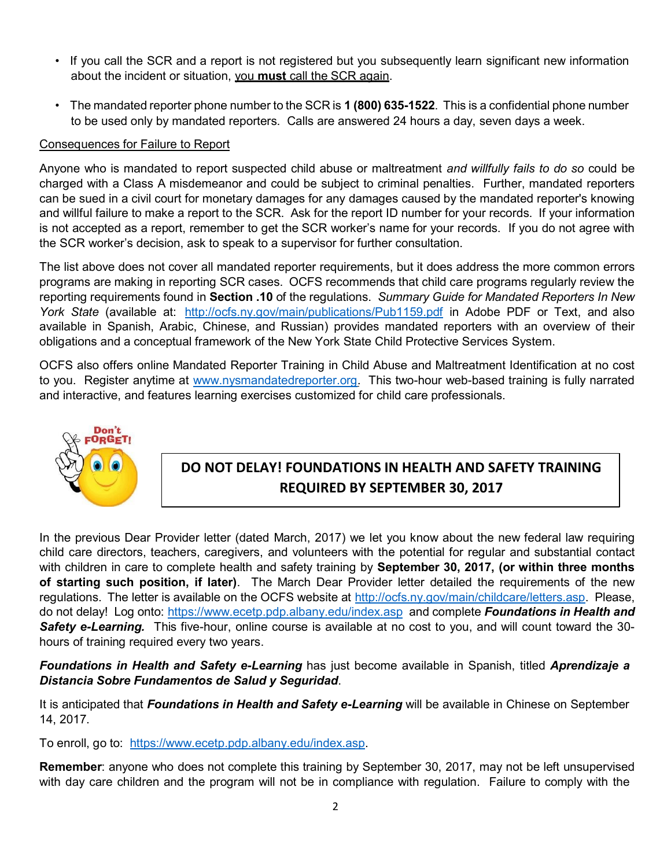- If you call the SCR and a report is not registered but you subsequently learn significant new information about the incident or situation, you **must** call the SCR again.
- The mandated reporter phone number to the SCR is **1 (800) 635-1522**. This is a confidential phone number to be used only by mandated reporters. Calls are answered 24 hours a day, seven days a week.

#### Consequences for Failure to Report

Anyone who is mandated to report suspected child abuse or maltreatment *and willfully fails to do so* could be charged with a Class A misdemeanor and could be subject to criminal penalties. Further, mandated reporters can be sued in a civil court for monetary damages for any damages caused by the mandated reporter's knowing and willful failure to make a report to the SCR. Ask for the report ID number for your records. If your information is not accepted as a report, remember to get the SCR worker's name for your records. If you do not agree with the SCR worker's decision, ask to speak to a supervisor for further consultation.

The list above does not cover all mandated reporter requirements, but it does address the more common errors programs are making in reporting SCR cases. OCFS recommends that child care programs regularly review the reporting requirements found in **Section .10** of the regulations. *Summary Guide for Mandated Reporters In New York State* (available at: <http://ocfs.ny.gov/main/publications/Pub1159.pdf> in Adobe PDF or Text, and also available in Spanish, Arabic, Chinese, and Russian) provides mandated reporters with an overview of their obligations and a conceptual framework of the New York State Child Protective Services System.

OCFS also offers online Mandated Reporter Training in Child Abuse and Maltreatment Identification at no cost to you. Register anytime at [www.nysmandatedreporter.org.](http://www.nysmandatedreporter.org/) This two-hour web-based training is fully narrated and interactive, and features learning exercises customized for child care professionals.



# **DO NOT DELAY! FOUNDATIONS IN HEALTH AND SAFETY TRAINING REQUIRED BY SEPTEMBER 30, 2017**

In the previous Dear Provider letter (dated March, 2017) we let you know about the new federal law requiring child care directors, teachers, caregivers, and volunteers with the potential for regular and substantial contact with children in care to complete health and safety training by **September 30, 2017, (or within three months of starting such position, if later)**. The March Dear Provider letter detailed the requirements of the new regulations. The letter is available on the OCFS website at [http://ocfs.ny.gov/main/childcare/letters.asp.](http://ocfs.ny.gov/main/childcare/letters.asp) Please, do not delay! Log onto:<https://www.ecetp.pdp.albany.edu/index.asp> and complete *Foundations in Health and Safety e-Learning.* This five-hour, online course is available at no cost to you, and will count toward the 30 hours of training required every two years.

*Foundations in Health and Safety e-Learning* has just become available in Spanish, titled *Aprendizaje a Distancia Sobre Fundamentos de Salud y Seguridad*.

It is anticipated that *Foundations in Health and Safety e-Learning* will be available in Chinese on September 14, 2017.

To enroll, go to: [https://www.ecetp.pdp.albany.edu/index.asp.](https://www.ecetp.pdp.albany.edu/index.asp)

**Remember**: anyone who does not complete this training by September 30, 2017, may not be left unsupervised with day care children and the program will not be in compliance with regulation. Failure to comply with the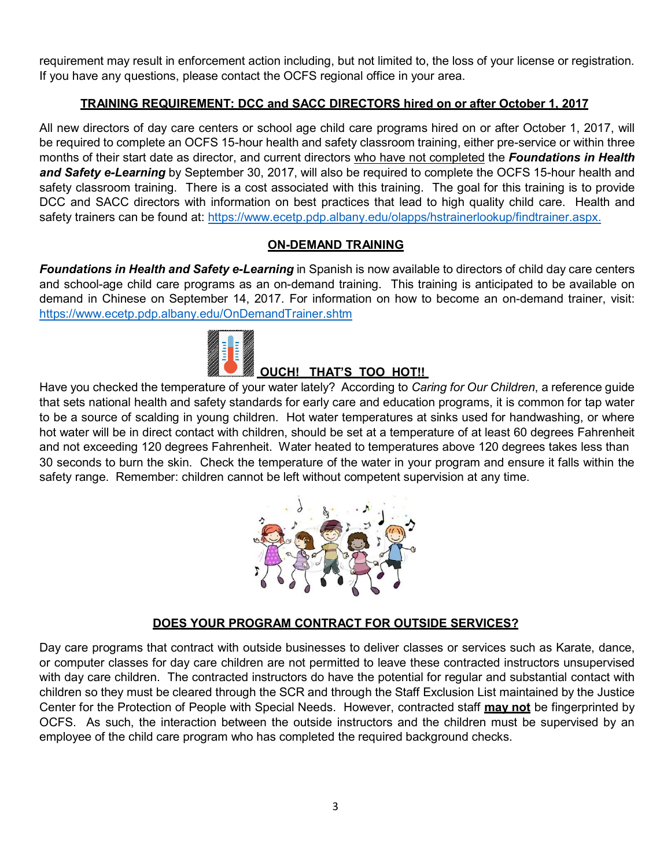requirement may result in enforcement action including, but not limited to, the loss of your license or registration. If you have any questions, please contact the OCFS regional office in your area.

# **TRAINING REQUIREMENT: DCC and SACC DIRECTORS hired on or after October 1, 2017**

All new directors of day care centers or school age child care programs hired on or after October 1, 2017, will be required to complete an OCFS 15-hour health and safety classroom training, either pre-service or within three months of their start date as director, and current directors who have not completed the *Foundations in Health and Safety e-Learning* by September 30, 2017, will also be required to complete the OCFS 15-hour health and safety classroom training. There is a cost associated with this training. The goal for this training is to provide DCC and SACC directors with information on best practices that lead to high quality child care. Health and safety trainers can be found at: [https://www.ecetp.pdp.albany.edu/olapps/hstrainerlookup/findtrainer.aspx.](https://www.ecetp.pdp.albany.edu/olapps/hstrainerlookup/findtrainer.aspx)

## **ON-DEMAND TRAINING**

*Foundations in Health and Safety e-Learning* in Spanish is now available to directors of child day care centers and school-age child care programs as an on-demand training. This training is anticipated to be available on demand in Chinese on September 14, 2017. For information on how to become an on-demand trainer, visit: <https://www.ecetp.pdp.albany.edu/OnDemandTrainer.shtm>



# **OUCH! THAT'S TOO HOT!!**

Have you checked the temperature of your water lately? According to *Caring for Our Children*, a reference guide that sets national health and safety standards for early care and education programs, it is common for tap water to be a source of scalding in young children. Hot water temperatures at sinks used for handwashing, or where hot water will be in direct contact with children, should be set at a temperature of at least 60 degrees Fahrenheit and not exceeding 120 degrees Fahrenheit. Water heated to temperatures above 120 degrees takes less than 30 seconds to burn the skin. Check the temperature of the water in your program and ensure it falls within the safety range. Remember: children cannot be left without competent supervision at any time.



## **DOES YOUR PROGRAM CONTRACT FOR OUTSIDE SERVICES?**

Day care programs that contract with outside businesses to deliver classes or services such as Karate, dance, or computer classes for day care children are not permitted to leave these contracted instructors unsupervised with day care children. The contracted instructors do have the potential for regular and substantial contact with children so they must be cleared through the SCR and through the Staff Exclusion List maintained by the Justice Center for the Protection of People with Special Needs. However, contracted staff **may not** be fingerprinted by OCFS. As such, the interaction between the outside instructors and the children must be supervised by an employee of the child care program who has completed the required background checks.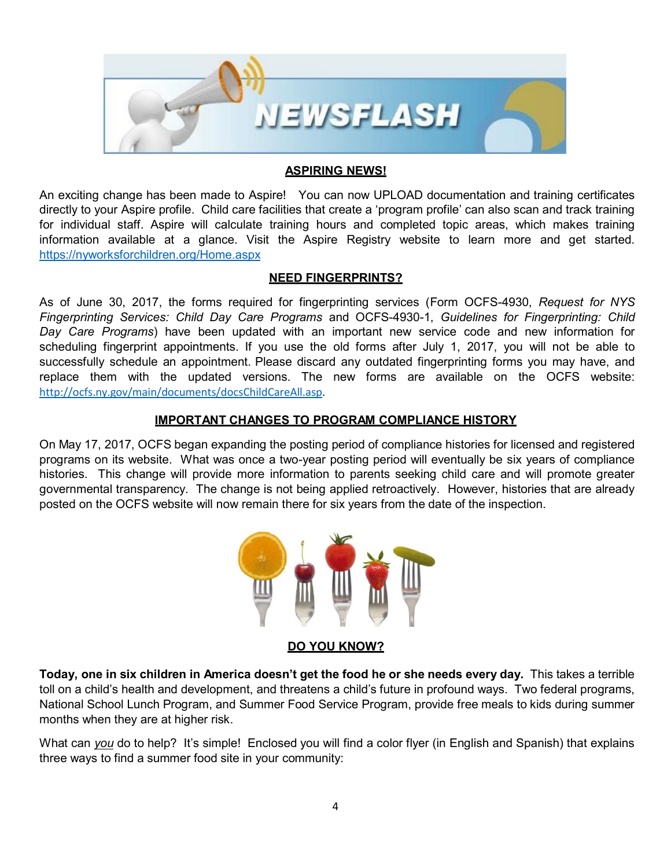

#### **ASPIRING NEWS!**

An exciting change has been made to Aspire! You can now UPLOAD documentation and training certificates directly to your Aspire profile. Child care facilities that create a 'program profile' can also scan and track training for individual staff. Aspire will calculate training hours and completed topic areas, which makes training information available at a glance. Visit the Aspire Registry website to learn more and get started. <https://nyworksforchildren.org/Home.aspx>

#### **NEED FINGERPRINTS?**

As of June 30, 2017, the forms required for fingerprinting services (Form OCFS-4930, *Request for NYS Fingerprinting Services: Child Day Care Programs* and OCFS-4930-1, *Guidelines for Fingerprinting: Child Day Care Programs*) have been updated with an important new service code and new information for scheduling fingerprint appointments. If you use the old forms after July 1, 2017, you will not be able to successfully schedule an appointment. Please discard any outdated fingerprinting forms you may have, and replace them with the updated versions. The new forms are available on the OCFS website: [http://ocfs.ny.gov/main/documents/docsChildCareAll.asp.](http://ocfs.ny.gov/main/documents/docsChildCareAll.asp)

#### **IMPORTANT CHANGES TO PROGRAM COMPLIANCE HISTORY**

On May 17, 2017, OCFS began expanding the posting period of compliance histories for licensed and registered programs on its website. What was once a two-year posting period will eventually be six years of compliance histories. This change will provide more information to parents seeking child care and will promote greater governmental transparency. The change is not being applied retroactively. However, histories that are already posted on the OCFS website will now remain there for six years from the date of the inspection.



#### **DO YOU KNOW?**

Today, one in six children in America doesn't get the food he or she needs every day. This takes a terrible toll on a child's health and development, and threatens a child's future in profound ways. Two federal programs, National School Lunch Program, and Summer Food Service Program, provide free meals to kids during summer months when they are at higher risk.

What can *you* do to help? It's simple! Enclosed you will find a color flyer (in English and Spanish) that explains three ways to find a summer food site in your community: